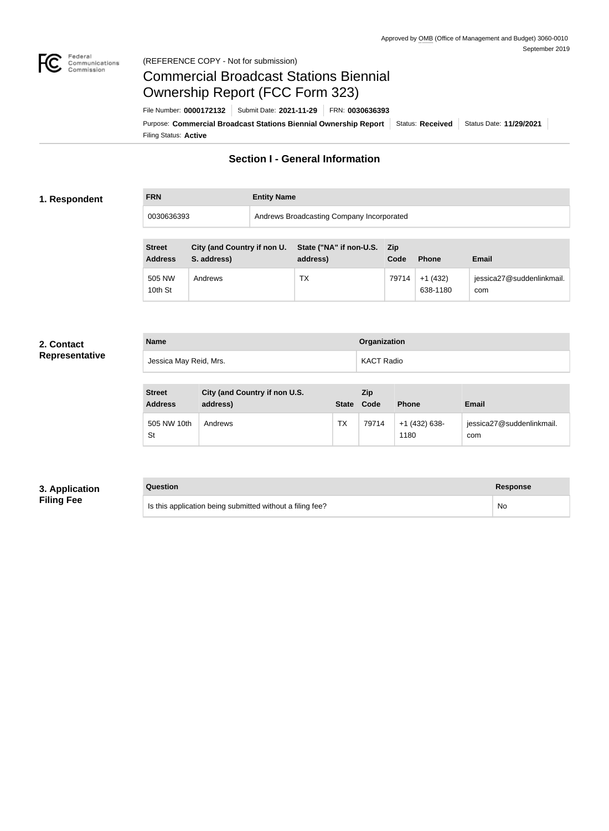

#### Federal<br>Communications<br>Commission (REFERENCE COPY - Not for submission)

# Commercial Broadcast Stations Biennial Ownership Report (FCC Form 323)

Filing Status: **Active** Purpose: Commercial Broadcast Stations Biennial Ownership Report Status: Received Status Date: 11/29/2021 File Number: **0000172132** Submit Date: **2021-11-29** FRN: **0030636393**

# **Section I - General Information**

#### **1. Respondent**

## **FRN Entity Name**

| 0030636393    |                                    | Andrews Broadcasting Company Incorporated |  |
|---------------|------------------------------------|-------------------------------------------|--|
|               |                                    |                                           |  |
| <b>Street</b> | <b>City (and Country if non U.</b> | State ("NA" if non-U.S. Zip               |  |

| JU CCL<br><b>Address</b> | City (and Country in Holl O. Grate (TNA In Holl-O.S. Zip<br>S. address) | address) | Code  | <b>Phone</b>          | <b>Email</b>                     |
|--------------------------|-------------------------------------------------------------------------|----------|-------|-----------------------|----------------------------------|
| 505 NW<br>10th St        | Andrews                                                                 | TX       | 79714 | $+1(432)$<br>638-1180 | jessica27@suddenlinkmail.<br>com |

#### **2. Contact Representative**

| <b>Name</b>            | <b>Organization</b> |
|------------------------|---------------------|
| Jessica May Reid, Mrs. | KACT Radio          |

| <b>Street</b><br><b>Address</b> | City (and Country if non U.S.<br>address) | <b>State</b> | <b>Zip</b><br>Code | <b>Phone</b>          | Email                            |
|---------------------------------|-------------------------------------------|--------------|--------------------|-----------------------|----------------------------------|
| 505 NW 10th<br>St               | Andrews                                   | TX           | 79714              | +1 (432) 638-<br>1180 | jessica27@suddenlinkmail.<br>com |

#### **3. Application Filing Fee**

#### **Question Response**

| Is this application being submitted without a filing fee? | N٥ |
|-----------------------------------------------------------|----|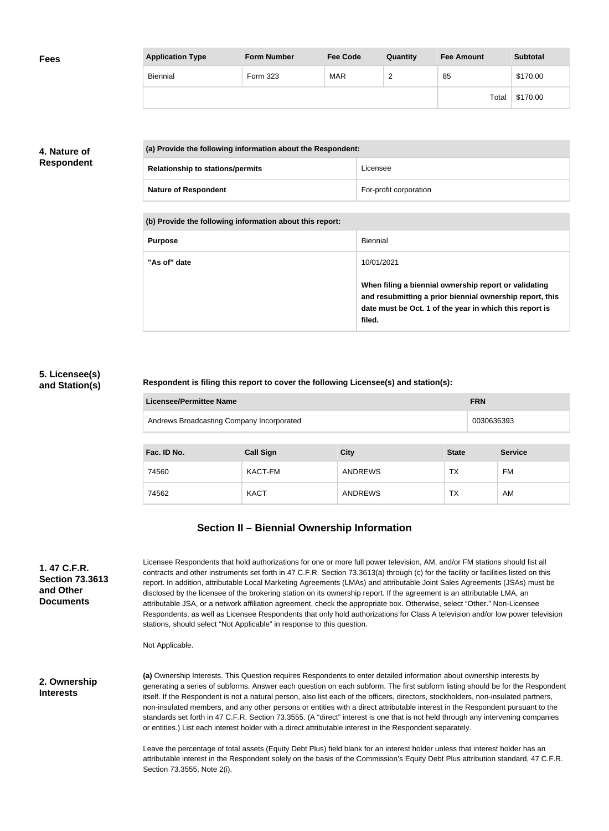| <b>Fees</b> | <b>Application Type</b> | <b>Form Number</b> | <b>Fee Code</b> | Quantity | <b>Fee Amount</b> | <b>Subtotal</b> |
|-------------|-------------------------|--------------------|-----------------|----------|-------------------|-----------------|
|             | Biennial                | Form 323           | <b>MAR</b>      | <u>_</u> | 85                | \$170.00        |
|             |                         |                    |                 |          | Total             | \$170.00        |

### **4. Nature of Respondent**

| (a) Provide the following information about the Respondent: |                        |  |  |
|-------------------------------------------------------------|------------------------|--|--|
| <b>Relationship to stations/permits</b>                     | Licensee               |  |  |
| <b>Nature of Respondent</b>                                 | For-profit corporation |  |  |

**(b) Provide the following information about this report:**

| <b>Purpose</b> | Biennial                                                                                                                                                                               |
|----------------|----------------------------------------------------------------------------------------------------------------------------------------------------------------------------------------|
| "As of" date   | 10/01/2021                                                                                                                                                                             |
|                | When filing a biennial ownership report or validating<br>and resubmitting a prior biennial ownership report, this<br>date must be Oct. 1 of the year in which this report is<br>filed. |

#### **5. Licensee(s) and Station(s)**

#### **Respondent is filing this report to cover the following Licensee(s) and station(s):**

| Licensee/Permittee Name                   | <b>FRN</b> |
|-------------------------------------------|------------|
| Andrews Broadcasting Company Incorporated | 0030636393 |

| Fac. ID No. | <b>Call Sign</b> | <b>City</b> | <b>State</b> | <b>Service</b> |
|-------------|------------------|-------------|--------------|----------------|
| 74560       | KACT-FM          | ANDREWS     | ТX           | FM             |
| 74562       | <b>KACT</b>      | ANDREWS     | ТX           | AM             |

### **Section II – Biennial Ownership Information**

| 1.47 C.F.R.            |  |  |  |  |  |
|------------------------|--|--|--|--|--|
| <b>Section 73.3613</b> |  |  |  |  |  |
| and Other              |  |  |  |  |  |
| <b>Documents</b>       |  |  |  |  |  |

Licensee Respondents that hold authorizations for one or more full power television, AM, and/or FM stations should list all contracts and other instruments set forth in 47 C.F.R. Section 73.3613(a) through (c) for the facility or facilities listed on this report. In addition, attributable Local Marketing Agreements (LMAs) and attributable Joint Sales Agreements (JSAs) must be disclosed by the licensee of the brokering station on its ownership report. If the agreement is an attributable LMA, an attributable JSA, or a network affiliation agreement, check the appropriate box. Otherwise, select "Other." Non-Licensee Respondents, as well as Licensee Respondents that only hold authorizations for Class A television and/or low power television stations, should select "Not Applicable" in response to this question.

Not Applicable.

**2. Ownership Interests**

**(a)** Ownership Interests. This Question requires Respondents to enter detailed information about ownership interests by generating a series of subforms. Answer each question on each subform. The first subform listing should be for the Respondent itself. If the Respondent is not a natural person, also list each of the officers, directors, stockholders, non-insulated partners, non-insulated members, and any other persons or entities with a direct attributable interest in the Respondent pursuant to the standards set forth in 47 C.F.R. Section 73.3555. (A "direct" interest is one that is not held through any intervening companies or entities.) List each interest holder with a direct attributable interest in the Respondent separately.

Leave the percentage of total assets (Equity Debt Plus) field blank for an interest holder unless that interest holder has an attributable interest in the Respondent solely on the basis of the Commission's Equity Debt Plus attribution standard, 47 C.F.R. Section 73.3555, Note 2(i).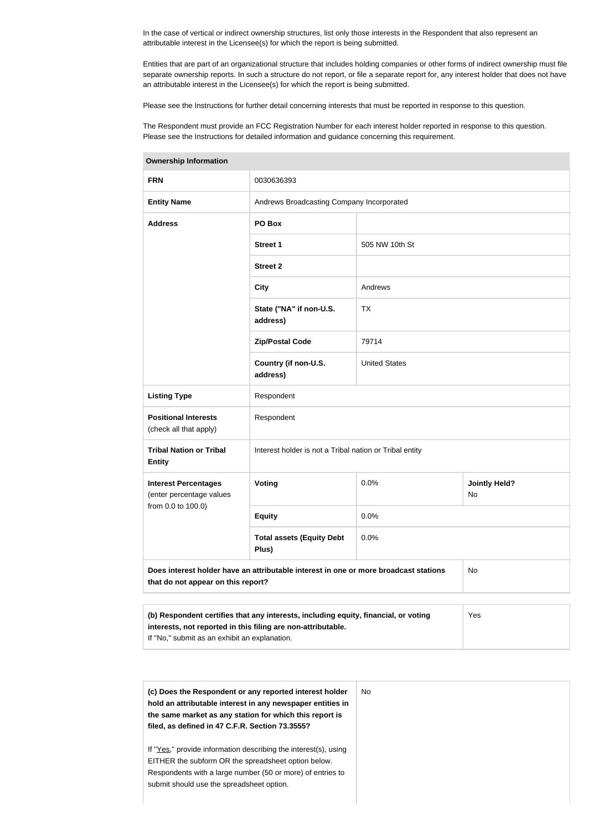In the case of vertical or indirect ownership structures, list only those interests in the Respondent that also represent an attributable interest in the Licensee(s) for which the report is being submitted.

Entities that are part of an organizational structure that includes holding companies or other forms of indirect ownership must file separate ownership reports. In such a structure do not report, or file a separate report for, any interest holder that does not have an attributable interest in the Licensee(s) for which the report is being submitted.

Please see the Instructions for further detail concerning interests that must be reported in response to this question.

The Respondent must provide an FCC Registration Number for each interest holder reported in response to this question. Please see the Instructions for detailed information and guidance concerning this requirement.

| <b>FRN</b>                                              | 0030636393                                                                           |                      |                            |  |  |
|---------------------------------------------------------|--------------------------------------------------------------------------------------|----------------------|----------------------------|--|--|
| <b>Entity Name</b>                                      | Andrews Broadcasting Company Incorporated                                            |                      |                            |  |  |
| <b>Address</b>                                          | PO Box                                                                               |                      |                            |  |  |
|                                                         | Street 1                                                                             | 505 NW 10th St       |                            |  |  |
|                                                         | <b>Street 2</b>                                                                      |                      |                            |  |  |
|                                                         | <b>City</b>                                                                          | Andrews              |                            |  |  |
|                                                         | State ("NA" if non-U.S.<br>address)                                                  | <b>TX</b>            |                            |  |  |
|                                                         | <b>Zip/Postal Code</b>                                                               | 79714                |                            |  |  |
|                                                         | Country (if non-U.S.<br>address)                                                     | <b>United States</b> |                            |  |  |
| <b>Listing Type</b>                                     | Respondent                                                                           |                      |                            |  |  |
| <b>Positional Interests</b><br>(check all that apply)   | Respondent                                                                           |                      |                            |  |  |
| <b>Tribal Nation or Tribal</b><br><b>Entity</b>         | Interest holder is not a Tribal nation or Tribal entity                              |                      |                            |  |  |
| <b>Interest Percentages</b><br>(enter percentage values | Voting                                                                               | 0.0%                 | <b>Jointly Held?</b><br>No |  |  |
| from 0.0 to 100.0)                                      | <b>Equity</b>                                                                        | 0.0%                 |                            |  |  |
|                                                         | <b>Total assets (Equity Debt</b><br>Plus)                                            | 0.0%                 |                            |  |  |
| that do not appear on this report?                      | Does interest holder have an attributable interest in one or more broadcast stations |                      | No                         |  |  |
|                                                         |                                                                                      |                      |                            |  |  |

**Ownership Information**

| (b) Respondent certifies that any interests, including equity, financial, or voting | Yes |
|-------------------------------------------------------------------------------------|-----|
| interests, not reported in this filing are non-attributable.                        |     |
| If "No," submit as an exhibit an explanation.                                       |     |

| (c) Does the Respondent or any reported interest holder<br>hold an attributable interest in any newspaper entities in<br>the same market as any station for which this report is<br>filed, as defined in 47 C.F.R. Section 73.3555? | No. |
|-------------------------------------------------------------------------------------------------------------------------------------------------------------------------------------------------------------------------------------|-----|
| If "Yes," provide information describing the interest(s), using<br>EITHER the subform OR the spreadsheet option below.<br>Respondents with a large number (50 or more) of entries to<br>submit should use the spreadsheet option.   |     |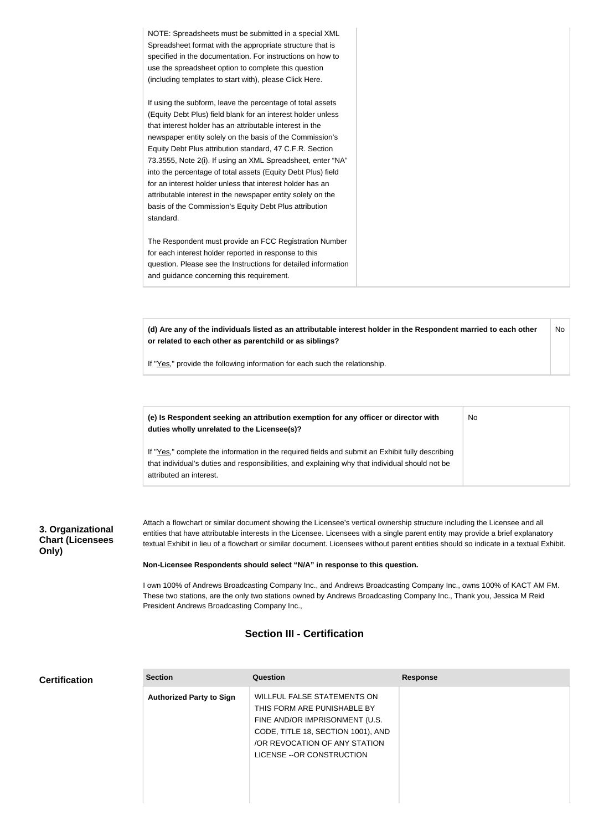| NOTE: Spreadsheets must be submitted in a special XML<br>Spreadsheet format with the appropriate structure that is<br>specified in the documentation. For instructions on how to<br>use the spreadsheet option to complete this question<br>(including templates to start with), please Click Here.                                                                                                                                                                                                                                                                                                                                              |
|--------------------------------------------------------------------------------------------------------------------------------------------------------------------------------------------------------------------------------------------------------------------------------------------------------------------------------------------------------------------------------------------------------------------------------------------------------------------------------------------------------------------------------------------------------------------------------------------------------------------------------------------------|
| If using the subform, leave the percentage of total assets<br>(Equity Debt Plus) field blank for an interest holder unless<br>that interest holder has an attributable interest in the<br>newspaper entity solely on the basis of the Commission's<br>Equity Debt Plus attribution standard, 47 C.F.R. Section<br>73.3555, Note 2(i). If using an XML Spreadsheet, enter "NA"<br>into the percentage of total assets (Equity Debt Plus) field<br>for an interest holder unless that interest holder has an<br>attributable interest in the newspaper entity solely on the<br>basis of the Commission's Equity Debt Plus attribution<br>standard. |
| The Respondent must provide an FCC Registration Number<br>for each interest holder reported in response to this<br>question. Please see the Instructions for detailed information<br>and guidance concerning this requirement.                                                                                                                                                                                                                                                                                                                                                                                                                   |

**(d) Are any of the individuals listed as an attributable interest holder in the Respondent married to each other or related to each other as parentchild or as siblings?** No

No

If "Yes," provide the following information for each such the relationship.

**(e) Is Respondent seeking an attribution exemption for any officer or director with duties wholly unrelated to the Licensee(s)?**

If "Yes," complete the information in the required fields and submit an Exhibit fully describing that individual's duties and responsibilities, and explaining why that individual should not be attributed an interest.

### **3. Organizational Chart (Licensees Only)**

Attach a flowchart or similar document showing the Licensee's vertical ownership structure including the Licensee and all entities that have attributable interests in the Licensee. Licensees with a single parent entity may provide a brief explanatory textual Exhibit in lieu of a flowchart or similar document. Licensees without parent entities should so indicate in a textual Exhibit.

**Non-Licensee Respondents should select "N/A" in response to this question.**

I own 100% of Andrews Broadcasting Company Inc., and Andrews Broadcasting Company Inc., owns 100% of KACT AM FM. These two stations, are the only two stations owned by Andrews Broadcasting Company Inc., Thank you, Jessica M Reid President Andrews Broadcasting Company Inc.,

# **Section III - Certification**

|  | <b>Certification</b> |
|--|----------------------|
|--|----------------------|

| <b>Section</b>                  | Question                                                                                                                                                                                                 | <b>Response</b> |
|---------------------------------|----------------------------------------------------------------------------------------------------------------------------------------------------------------------------------------------------------|-----------------|
| <b>Authorized Party to Sign</b> | <b>WILLFUL FALSE STATEMENTS ON</b><br>THIS FORM ARE PUNISHABLE BY<br>FINE AND/OR IMPRISONMENT (U.S.<br>CODE, TITLE 18, SECTION 1001), AND<br>/OR REVOCATION OF ANY STATION<br>LICENSE -- OR CONSTRUCTION |                 |